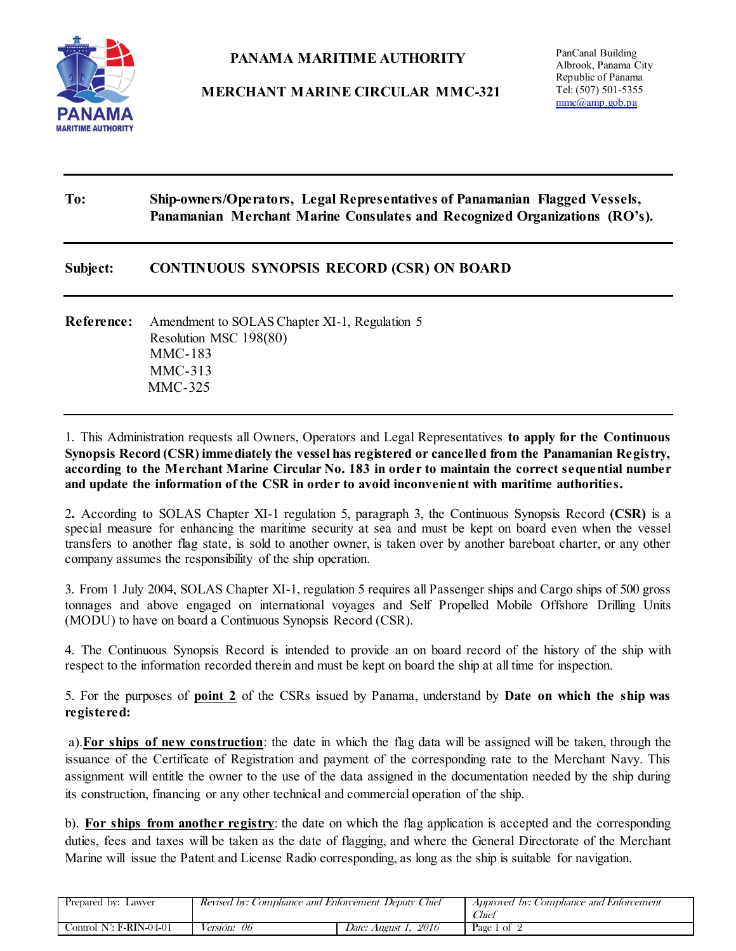

## **PANAMA MARITIME AUTHORITY**

**MERCHANT MARINE CIRCULAR MMC-321**

PanCanal Building Albrook, Panama City Republic of Panama Tel: (507) 501-5355 [mmc@amp.gob.pa](mailto:mmc@amp.gob.pa)

## **To: Ship-owners/Operators, Legal Representatives of Panamanian Flagged Vessels, Panamanian Merchant Marine Consulates and Recognized Organizations (RO's).**

## **Subject: CONTINUOUS SYNOPSIS RECORD (CSR) ON BOARD**

**Reference:** Amendment to SOLAS Chapter XI-1, Regulation 5 Resolution MSC 198(80) MMC-183 MMC-313 MMC-325

1. This Administration requests all Owners, Operators and Legal Representatives **to apply for the Continuous Synopsis Record (CSR) immediately the vessel has registered or cancelled from the Panamanian Registry, according to the Merchant Marine Circular No. 183 in order to maintain the correct sequential number and update the information of the CSR in order to avoid inconvenient with maritime authorities.**

2**.** According to SOLAS Chapter XI-1 regulation 5, paragraph 3, the Continuous Synopsis Record **(CSR)** is a special measure for enhancing the maritime security at sea and must be kept on board even when the vessel transfers to another flag state, is sold to another owner, is taken over by another bareboat charter, or any other company assumes the responsibility of the ship operation.

3. From 1 July 2004, SOLAS Chapter XI-1, regulation 5 requires all Passenger ships and Cargo ships of 500 gross tonnages and above engaged on international voyages and Self Propelled Mobile Offshore Drilling Units (MODU) to have on board a Continuous Synopsis Record (CSR).

4. The Continuous Synopsis Record is intended to provide an on board record of the history of the ship with respect to the information recorded therein and must be kept on board the ship at all time for inspection.

5. For the purposes of **point 2** of the CSRs issued by Panama, understand by **Date on which the ship was registered:** 

 a).**For ships of new construction**: the date in which the flag data will be assigned will be taken, through the issuance of the Certificate of Registration and payment of the corresponding rate to the Merchant Navy. This assignment will entitle the owner to the use of the data assigned in the documentation needed by the ship during its construction, financing or any other technical and commercial operation of the ship.

b). **For ships from another registry**: the date on which the flag application is accepted and the corresponding duties, fees and taxes will be taken as the date of flagging, and where the General Directorate of the Merchant Marine will issue the Patent and License Radio corresponding, as long as the ship is suitable for navigation.

| Prepared by: Lawyer               | Revised by: Compliance and Enforcement Deputy Chief |                         | Approved by: Comphance and Enforcement<br>Chiel |
|-----------------------------------|-----------------------------------------------------|-------------------------|-------------------------------------------------|
| Control $N^{\circ}$ : F-RIN-04-01 | <i>Versión: 06</i>                                  | 2016<br>Date: August 1. | Page 1 of $\sim$                                |